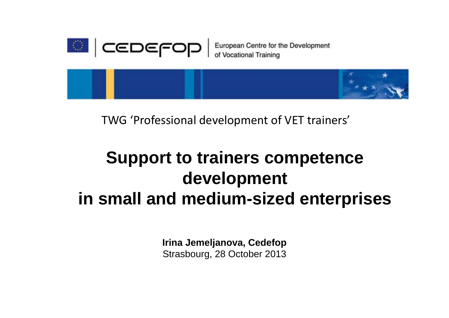

TWG 'Professional development of VET trainers'

# **Support to trainers competence development in small and medium-sized enterprises**

**Irina Jemeljanova, Cedefop** Strasbourg, 28 October 2013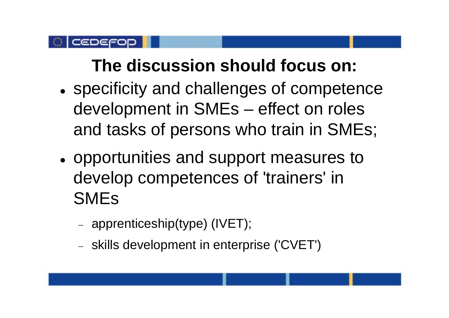#### CEDEFO

# **The discussion should focus on:**

- $\bullet$  specificity and challenges of competence development in SMEs – effect on roles and tasks of persons who train in SMEs;
- opportunities and support measures to develop competences of 'trainers' in SMEs
	- apprenticeship(type) (IVET);
	- skills development in enterprise ('CVET')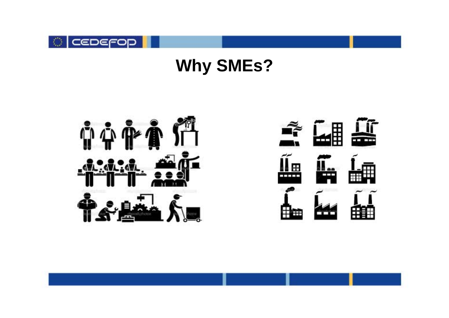

# **Why SMEs?**





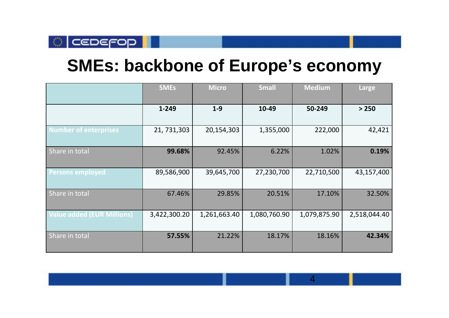

### **SMEs: backbone of Europe's economy**

|                                   | <b>SMEs</b>  | <b>Micro</b> | <b>Small</b> | <b>Medium</b> | Large        |
|-----------------------------------|--------------|--------------|--------------|---------------|--------------|
|                                   | 1-249        | $1-9$        | 10-49        | 50-249        | > 250        |
| <b>Number of enterprises</b>      | 21, 731, 303 | 20,154,303   | 1,355,000    | 222,000       | 42,421       |
| Share in total                    | 99.68%       | 92.45%       | 6.22%        | 1.02%         | 0.19%        |
| <b>Persons employed</b>           | 89,586,900   | 39,645,700   | 27,230,700   | 22,710,500    | 43,157,400   |
| Share in total                    | 67.46%       | 29.85%       | 20.51%       | 17.10%        | 32.50%       |
| <b>Value added (EUR Millions)</b> | 3,422,300.20 | 1,261,663.40 | 1,080,760.90 | 1,079,875.90  | 2,518,044.40 |
| Share in total                    | 57.55%       | 21.22%       | 18.17%       | 18.16%        | 42.34%       |

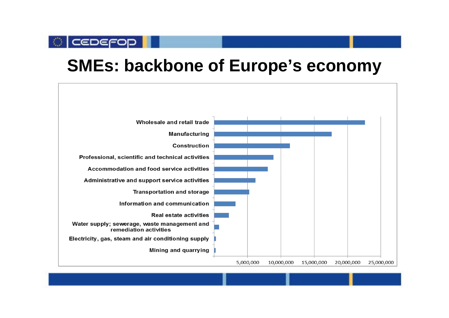# **SMEs: backbone of Europe's economy**

**CEDEFOD** 

Ð

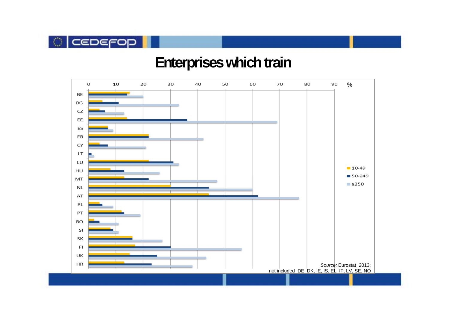

#### **Enterprises which train**

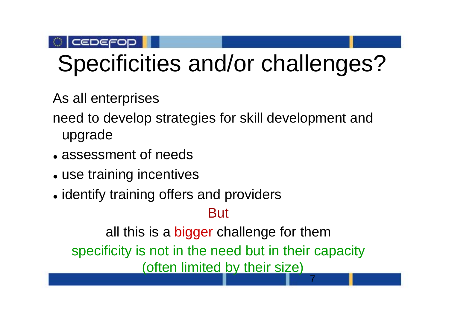

# Specificities and/or challenges?

As all enterprises

need to develop strategies for skill development and upgrade

- assessment of needs
- use training incentives
- identify training offers and providers

But

all this is a bigger challenge for them

specificity is not in the need but in their capacity

(often limited by their size)

7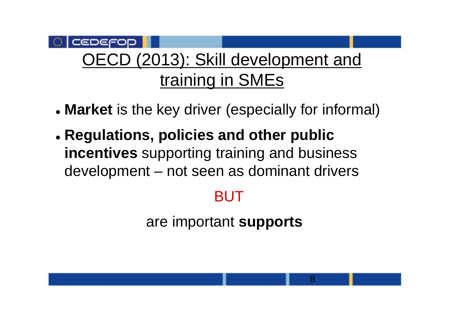#### CEDEFO OECD (2013): Skill development and training in SMEs

- **Market** is the key driver (especially for informal)
- **Regulations, policies and other public incentives** supporting training and business development – not seen as dominant drivers

## BUT

are important **supports**

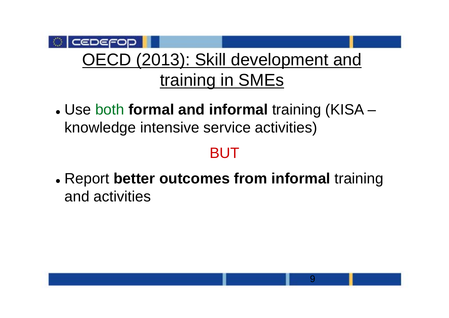### CEDEFOD OECD (2013): Skill development and training in SMEs

 Use both **formal and informal** training (KISA – knowledge intensive service activities)

## BUT

 Report **better outcomes from informal** training and activities

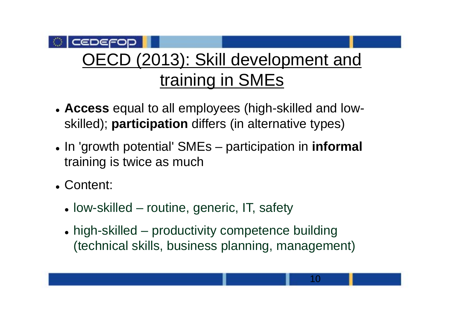#### CEDEFOD OECD (2013): Skill development and training in SMEs

- **Access** equal to all employees (high-skilled and lowskilled); **participation** differs (in alternative types)
- In 'growth potential' SMEs participation in *informal* training is twice as much
- Content:
	- low-skilled routine, generic, IT, safety
	- high-skilled productivity competence building (technical skills, business planning, management)

10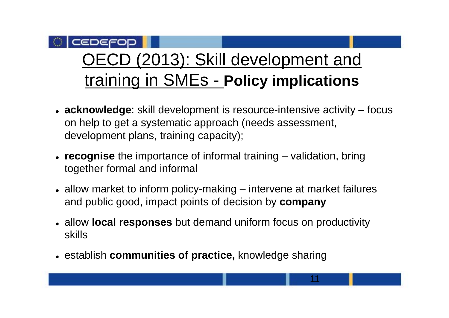#### CEDEFOD ECD (2013): Skill development and training in SMEs - **Policy implications**

- **acknowledge**: skill development is resource-intensive activity focus on help to get a systematic approach (needs assessment, development plans, training capacity);
- **recognise** the importance of informal training validation, bring together formal and informal
- allow market to inform policy-making intervene at market failures and public good, impact points of decision by **company**
- allow **local responses** but demand uniform focus on productivity skills

11

establish **communities of practice,** knowledge sharing